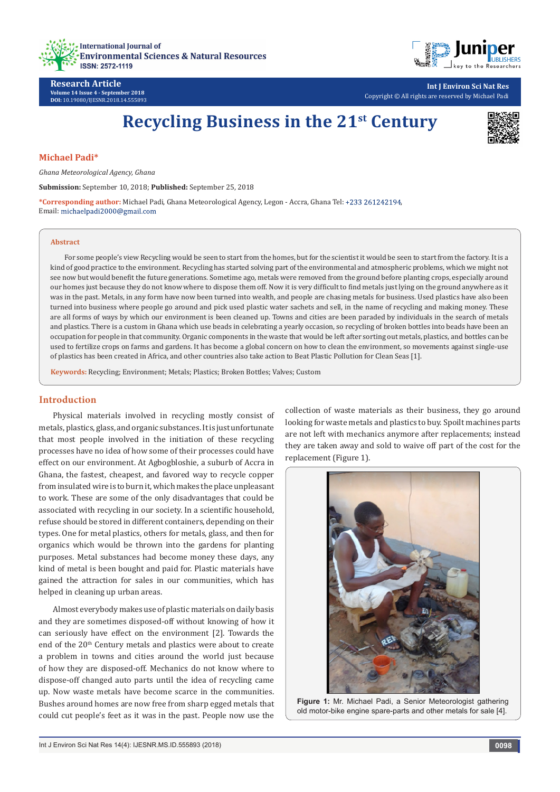



**Research Article Volume 14 Issue 4 - September 2018 DOI:** [10.19080/IJESNR.2018.14.555893](http://dx.doi.org/10.19080/IJESNR.2018.14.555893)

**Int J Environ Sci Nat Res** Copyright © All rights are reserved by Michael Padi

# **Recycling Business in the 21st Century**



#### **Michael Padi\***

*Ghana Meteorological Agency, Ghana*

**Submission:** September 10, 2018; **Published:** September 25, 2018

**\*Corresponding author:** Michael Padi, Ghana Meteorological Agency, Legon - Accra, Ghana Tel: , Email: michaelpadi2000@gmail.com

#### **Abstract**

For some people's view Recycling would be seen to start from the homes, but for the scientist it would be seen to start from the factory. It is a kind of good practice to the environment. Recycling has started solving part of the environmental and atmospheric problems, which we might not see now but would benefit the future generations. Sometime ago, metals were removed from the ground before planting crops, especially around our homes just because they do not know where to dispose them off. Now it is very difficult to find metals just lying on the ground anywhere as it was in the past. Metals, in any form have now been turned into wealth, and people are chasing metals for business. Used plastics have also been turned into business where people go around and pick used plastic water sachets and sell, in the name of recycling and making money. These are all forms of ways by which our environment is been cleaned up. Towns and cities are been paraded by individuals in the search of metals and plastics. There is a custom in Ghana which use beads in celebrating a yearly occasion, so recycling of broken bottles into beads have been an occupation for people in that community. Organic components in the waste that would be left after sorting out metals, plastics, and bottles can be used to fertilize crops on farms and gardens. It has become a global concern on how to clean the environment, so movements against single-use of plastics has been created in Africa, and other countries also take action to Beat Plastic Pollution for Clean Seas [1].

**Keywords:** Recycling; Environment; Metals; Plastics; Broken Bottles; Valves; Custom

#### **Introduction**

Physical materials involved in recycling mostly consist of metals, plastics, glass, and organic substances. It is just unfortunate that most people involved in the initiation of these recycling processes have no idea of how some of their processes could have effect on our environment. At Agbogbloshie, a suburb of Accra in Ghana, the fastest, cheapest, and favored way to recycle copper from insulated wire is to burn it, which makes the place unpleasant to work. These are some of the only disadvantages that could be associated with recycling in our society. In a scientific household, refuse should be stored in different containers, depending on their types. One for metal plastics, others for metals, glass, and then for organics which would be thrown into the gardens for planting purposes. Metal substances had become money these days, any kind of metal is been bought and paid for. Plastic materials have gained the attraction for sales in our communities, which has helped in cleaning up urban areas.

Almost everybody makes use of plastic materials on daily basis and they are sometimes disposed-off without knowing of how it can seriously have effect on the environment [2]. Towards the end of the 20<sup>th</sup> Century metals and plastics were about to create a problem in towns and cities around the world just because of how they are disposed-off. Mechanics do not know where to dispose-off changed auto parts until the idea of recycling came up. Now waste metals have become scarce in the communities. Bushes around homes are now free from sharp egged metals that could cut people's feet as it was in the past. People now use the

collection of waste materials as their business, they go around looking for waste metals and plastics to buy. Spoilt machines parts are not left with mechanics anymore after replacements; instead they are taken away and sold to waive off part of the cost for the replacement (Figure 1).



**Figure 1:** Mr. Michael Padi, a Senior Meteorologist gathering old motor-bike engine spare-parts and other metals for sale [4].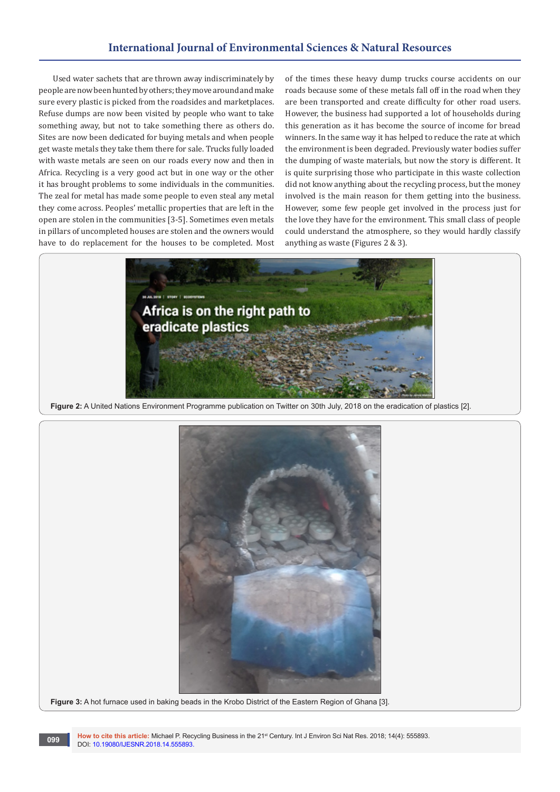## **International Journal of Environmental Sciences & Natural Resources**

Used water sachets that are thrown away indiscriminately by people are now been hunted by others; they move around and make sure every plastic is picked from the roadsides and marketplaces. Refuse dumps are now been visited by people who want to take something away, but not to take something there as others do. Sites are now been dedicated for buying metals and when people get waste metals they take them there for sale. Trucks fully loaded with waste metals are seen on our roads every now and then in Africa. Recycling is a very good act but in one way or the other it has brought problems to some individuals in the communities. The zeal for metal has made some people to even steal any metal they come across. Peoples' metallic properties that are left in the open are stolen in the communities [3-5]. Sometimes even metals in pillars of uncompleted houses are stolen and the owners would have to do replacement for the houses to be completed. Most of the times these heavy dump trucks course accidents on our roads because some of these metals fall off in the road when they are been transported and create difficulty for other road users. However, the business had supported a lot of households during this generation as it has become the source of income for bread winners. In the same way it has helped to reduce the rate at which the environment is been degraded. Previously water bodies suffer the dumping of waste materials, but now the story is different. It is quite surprising those who participate in this waste collection did not know anything about the recycling process, but the money involved is the main reason for them getting into the business. However, some few people get involved in the process just for the love they have for the environment. This small class of people could understand the atmosphere, so they would hardly classify anything as waste (Figures 2 & 3).



**Figure 2:** A United Nations Environment Programme publication on Twitter on 30th July, 2018 on the eradication of plastics [2].



**Figure 3:** A hot furnace used in baking beads in the Krobo District of the Eastern Region of Ghana [3].

How to cite this article: Michael P. Recycling Business in the 21<sup>st</sup> Century. Int J Environ Sci Nat Res. 2018; 14(4): 555893. 099 **DOI:** 10.19080/IJESNR.2018.14.555893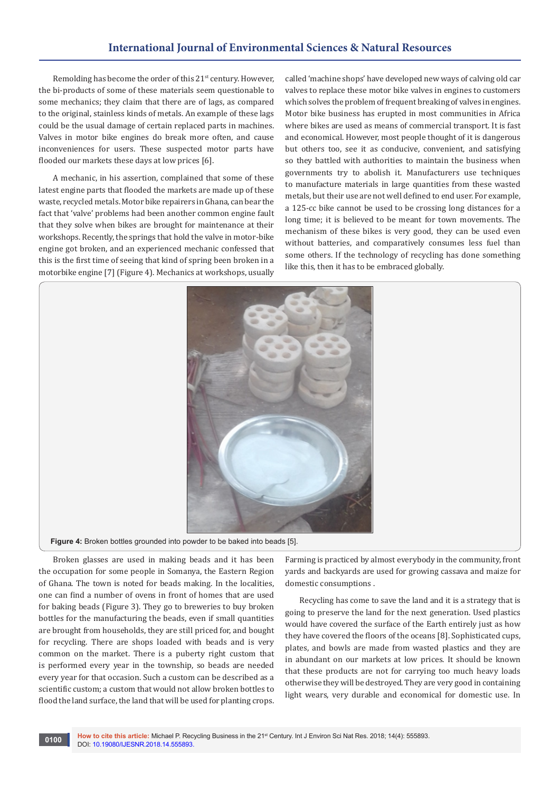## **International Journal of Environmental Sciences & Natural Resources**

Remolding has become the order of this 21<sup>st</sup> century. However, the bi-products of some of these materials seem questionable to some mechanics; they claim that there are of lags, as compared to the original, stainless kinds of metals. An example of these lags could be the usual damage of certain replaced parts in machines. Valves in motor bike engines do break more often, and cause inconveniences for users. These suspected motor parts have flooded our markets these days at low prices [6].

A mechanic, in his assertion, complained that some of these latest engine parts that flooded the markets are made up of these waste, recycled metals. Motor bike repairers in Ghana, can bear the fact that 'valve' problems had been another common engine fault that they solve when bikes are brought for maintenance at their workshops. Recently, the springs that hold the valve in motor-bike engine got broken, and an experienced mechanic confessed that this is the first time of seeing that kind of spring been broken in a motorbike engine [7] (Figure 4). Mechanics at workshops, usually

called 'machine shops' have developed new ways of calving old car valves to replace these motor bike valves in engines to customers which solves the problem of frequent breaking of valves in engines. Motor bike business has erupted in most communities in Africa where bikes are used as means of commercial transport. It is fast and economical. However, most people thought of it is dangerous but others too, see it as conducive, convenient, and satisfying so they battled with authorities to maintain the business when governments try to abolish it. Manufacturers use techniques to manufacture materials in large quantities from these wasted metals, but their use are not well defined to end user. For example, a 125-cc bike cannot be used to be crossing long distances for a long time; it is believed to be meant for town movements. The mechanism of these bikes is very good, they can be used even without batteries, and comparatively consumes less fuel than some others. If the technology of recycling has done something like this, then it has to be embraced globally.



Broken glasses are used in making beads and it has been the occupation for some people in Somanya, the Eastern Region of Ghana. The town is noted for beads making. In the localities, one can find a number of ovens in front of homes that are used for baking beads (Figure 3). They go to breweries to buy broken bottles for the manufacturing the beads, even if small quantities are brought from households, they are still priced for, and bought for recycling. There are shops loaded with beads and is very common on the market. There is a puberty right custom that is performed every year in the township, so beads are needed every year for that occasion. Such a custom can be described as a scientific custom; a custom that would not allow broken bottles to flood the land surface, the land that will be used for planting crops.

Farming is practiced by almost everybody in the community, front yards and backyards are used for growing cassava and maize for domestic consumptions .

Recycling has come to save the land and it is a strategy that is going to preserve the land for the next generation. Used plastics would have covered the surface of the Earth entirely just as how they have covered the floors of the oceans [8]. Sophisticated cups, plates, and bowls are made from wasted plastics and they are in abundant on our markets at low prices. It should be known that these products are not for carrying too much heavy loads otherwise they will be destroyed. They are very good in containing light wears, very durable and economical for domestic use. In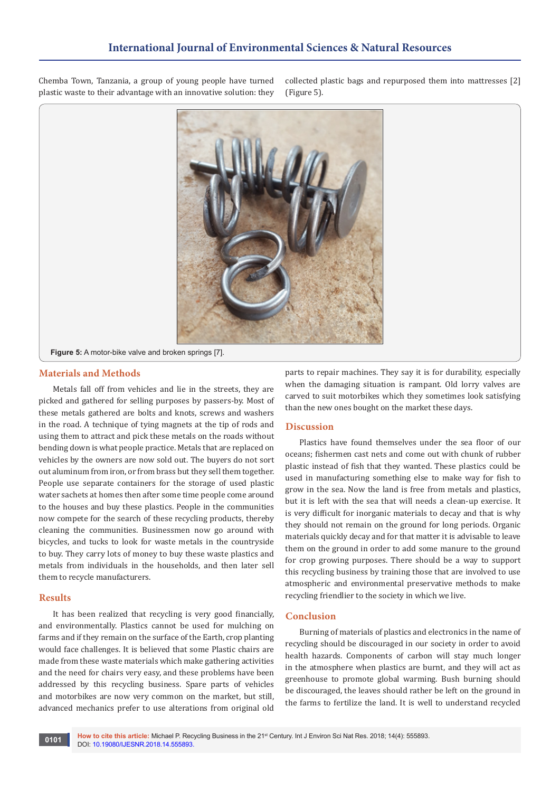Chemba Town, Tanzania, a group of young people have turned plastic waste to their advantage with an innovative solution: they

collected plastic bags and repurposed them into mattresses [2] (Figure 5).



#### **Materials and Methods**

Metals fall off from vehicles and lie in the streets, they are picked and gathered for selling purposes by passers-by. Most of these metals gathered are bolts and knots, screws and washers in the road. A technique of tying magnets at the tip of rods and using them to attract and pick these metals on the roads without bending down is what people practice. Metals that are replaced on vehicles by the owners are now sold out. The buyers do not sort out aluminum from iron, or from brass but they sell them together. People use separate containers for the storage of used plastic water sachets at homes then after some time people come around to the houses and buy these plastics. People in the communities now compete for the search of these recycling products, thereby cleaning the communities. Businessmen now go around with bicycles, and tucks to look for waste metals in the countryside to buy. They carry lots of money to buy these waste plastics and metals from individuals in the households, and then later sell them to recycle manufacturers.

#### **Results**

It has been realized that recycling is very good financially, and environmentally. Plastics cannot be used for mulching on farms and if they remain on the surface of the Earth, crop planting would face challenges. It is believed that some Plastic chairs are made from these waste materials which make gathering activities and the need for chairs very easy, and these problems have been addressed by this recycling business. Spare parts of vehicles and motorbikes are now very common on the market, but still, advanced mechanics prefer to use alterations from original old

parts to repair machines. They say it is for durability, especially when the damaging situation is rampant. Old lorry valves are carved to suit motorbikes which they sometimes look satisfying than the new ones bought on the market these days.

#### **Discussion**

Plastics have found themselves under the sea floor of our oceans; fishermen cast nets and come out with chunk of rubber plastic instead of fish that they wanted. These plastics could be used in manufacturing something else to make way for fish to grow in the sea. Now the land is free from metals and plastics, but it is left with the sea that will needs a clean-up exercise. It is very difficult for inorganic materials to decay and that is why they should not remain on the ground for long periods. Organic materials quickly decay and for that matter it is advisable to leave them on the ground in order to add some manure to the ground for crop growing purposes. There should be a way to support this recycling business by training those that are involved to use atmospheric and environmental preservative methods to make recycling friendlier to the society in which we live.

#### **Conclusion**

Burning of materials of plastics and electronics in the name of recycling should be discouraged in our society in order to avoid health hazards. Components of carbon will stay much longer in the atmosphere when plastics are burnt, and they will act as greenhouse to promote global warming. Bush burning should be discouraged, the leaves should rather be left on the ground in the farms to fertilize the land. It is well to understand recycled